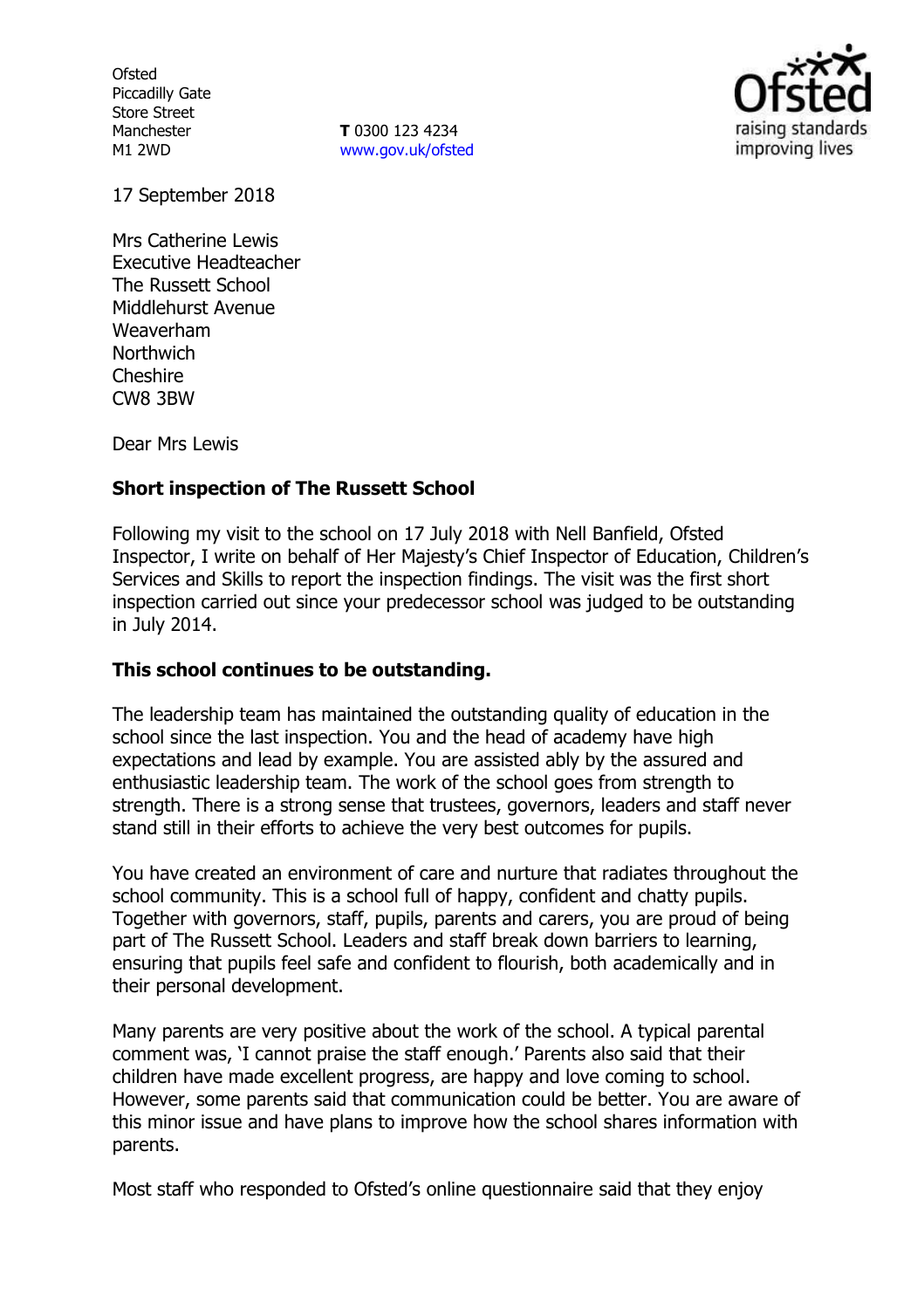**Ofsted** Piccadilly Gate Store Street Manchester M1 2WD

**T** 0300 123 4234 www.gov.uk/ofsted



17 September 2018

Mrs Catherine Lewis Executive Headteacher The Russett School Middlehurst Avenue Weaverham **Northwich** Cheshire CW8 3BW

Dear Mrs Lewis

## **Short inspection of The Russett School**

Following my visit to the school on 17 July 2018 with Nell Banfield, Ofsted Inspector, I write on behalf of Her Majesty's Chief Inspector of Education, Children's Services and Skills to report the inspection findings. The visit was the first short inspection carried out since your predecessor school was judged to be outstanding in July 2014.

## **This school continues to be outstanding.**

The leadership team has maintained the outstanding quality of education in the school since the last inspection. You and the head of academy have high expectations and lead by example. You are assisted ably by the assured and enthusiastic leadership team. The work of the school goes from strength to strength. There is a strong sense that trustees, governors, leaders and staff never stand still in their efforts to achieve the very best outcomes for pupils.

You have created an environment of care and nurture that radiates throughout the school community. This is a school full of happy, confident and chatty pupils. Together with governors, staff, pupils, parents and carers, you are proud of being part of The Russett School. Leaders and staff break down barriers to learning, ensuring that pupils feel safe and confident to flourish, both academically and in their personal development.

Many parents are very positive about the work of the school. A typical parental comment was, 'I cannot praise the staff enough.' Parents also said that their children have made excellent progress, are happy and love coming to school. However, some parents said that communication could be better. You are aware of this minor issue and have plans to improve how the school shares information with parents.

Most staff who responded to Ofsted's online questionnaire said that they enjoy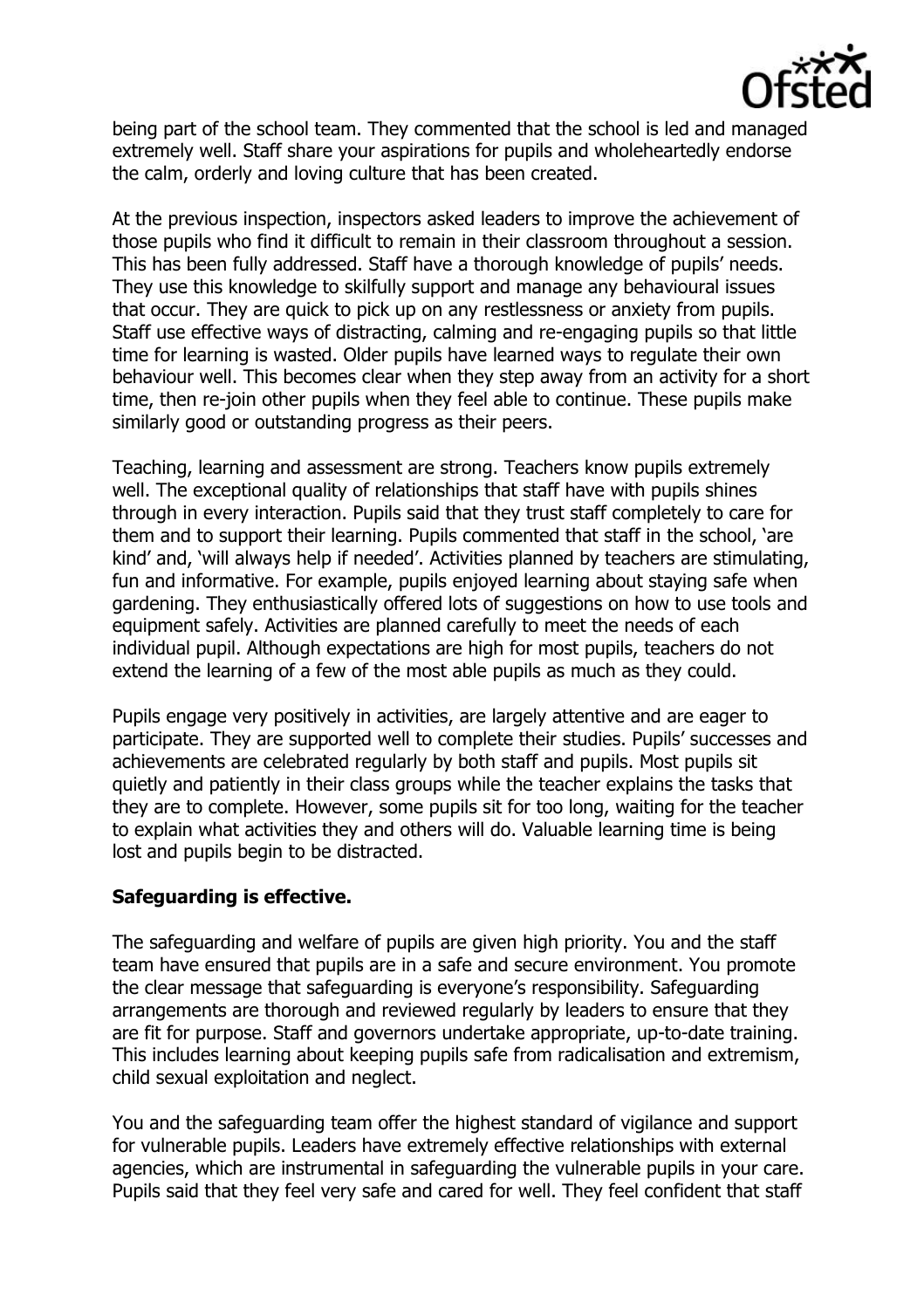

being part of the school team. They commented that the school is led and managed extremely well. Staff share your aspirations for pupils and wholeheartedly endorse the calm, orderly and loving culture that has been created.

At the previous inspection, inspectors asked leaders to improve the achievement of those pupils who find it difficult to remain in their classroom throughout a session. This has been fully addressed. Staff have a thorough knowledge of pupils' needs. They use this knowledge to skilfully support and manage any behavioural issues that occur. They are quick to pick up on any restlessness or anxiety from pupils. Staff use effective ways of distracting, calming and re-engaging pupils so that little time for learning is wasted. Older pupils have learned ways to regulate their own behaviour well. This becomes clear when they step away from an activity for a short time, then re-join other pupils when they feel able to continue. These pupils make similarly good or outstanding progress as their peers.

Teaching, learning and assessment are strong. Teachers know pupils extremely well. The exceptional quality of relationships that staff have with pupils shines through in every interaction. Pupils said that they trust staff completely to care for them and to support their learning. Pupils commented that staff in the school, 'are kind' and, 'will always help if needed'. Activities planned by teachers are stimulating, fun and informative. For example, pupils enjoyed learning about staying safe when gardening. They enthusiastically offered lots of suggestions on how to use tools and equipment safely. Activities are planned carefully to meet the needs of each individual pupil. Although expectations are high for most pupils, teachers do not extend the learning of a few of the most able pupils as much as they could.

Pupils engage very positively in activities, are largely attentive and are eager to participate. They are supported well to complete their studies. Pupils' successes and achievements are celebrated regularly by both staff and pupils. Most pupils sit quietly and patiently in their class groups while the teacher explains the tasks that they are to complete. However, some pupils sit for too long, waiting for the teacher to explain what activities they and others will do. Valuable learning time is being lost and pupils begin to be distracted.

## **Safeguarding is effective.**

The safeguarding and welfare of pupils are given high priority. You and the staff team have ensured that pupils are in a safe and secure environment. You promote the clear message that safeguarding is everyone's responsibility. Safeguarding arrangements are thorough and reviewed regularly by leaders to ensure that they are fit for purpose. Staff and governors undertake appropriate, up-to-date training. This includes learning about keeping pupils safe from radicalisation and extremism, child sexual exploitation and neglect.

You and the safeguarding team offer the highest standard of vigilance and support for vulnerable pupils. Leaders have extremely effective relationships with external agencies, which are instrumental in safeguarding the vulnerable pupils in your care. Pupils said that they feel very safe and cared for well. They feel confident that staff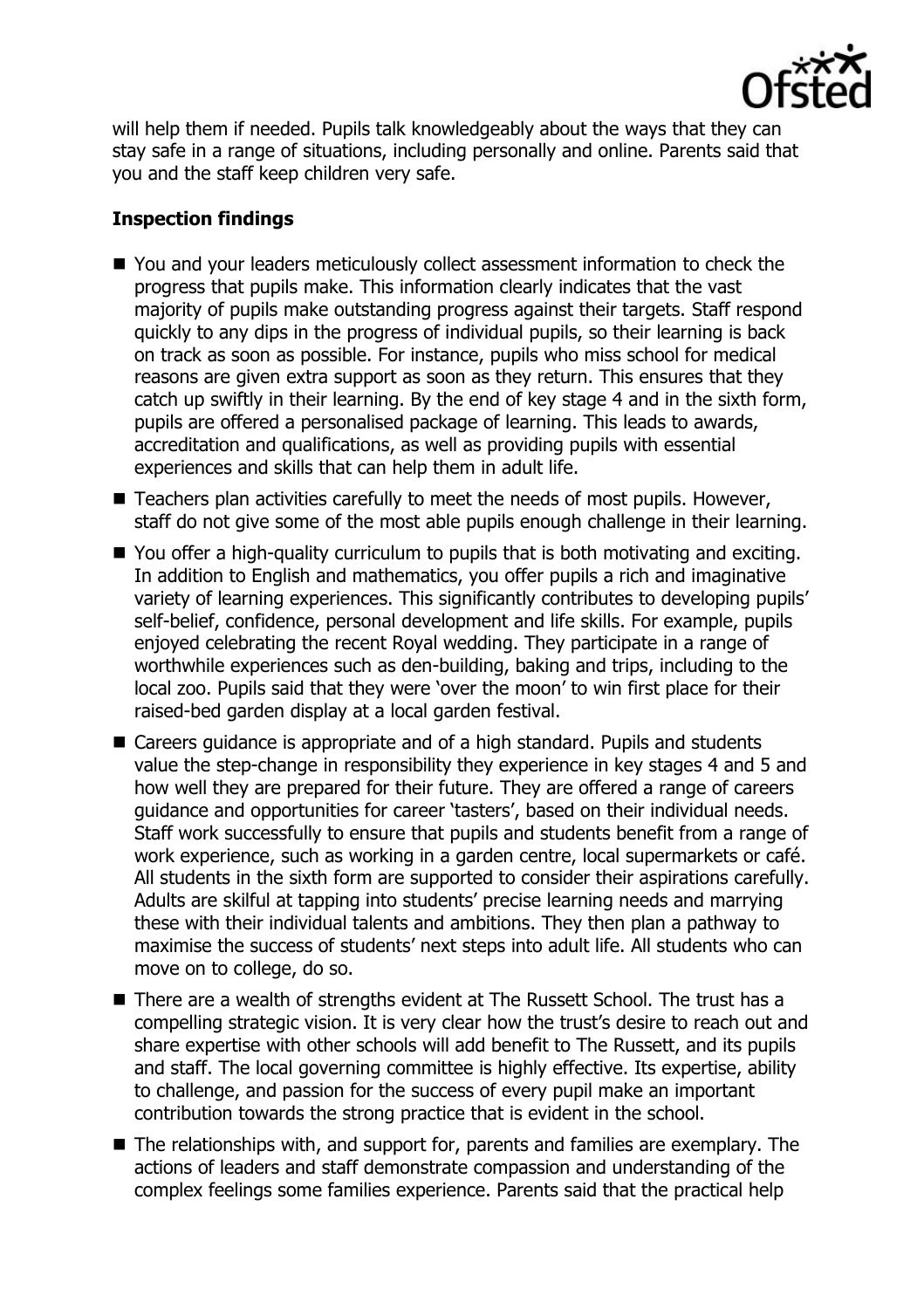

will help them if needed. Pupils talk knowledgeably about the ways that they can stay safe in a range of situations, including personally and online. Parents said that you and the staff keep children very safe.

# **Inspection findings**

- You and your leaders meticulously collect assessment information to check the progress that pupils make. This information clearly indicates that the vast majority of pupils make outstanding progress against their targets. Staff respond quickly to any dips in the progress of individual pupils, so their learning is back on track as soon as possible. For instance, pupils who miss school for medical reasons are given extra support as soon as they return. This ensures that they catch up swiftly in their learning. By the end of key stage 4 and in the sixth form, pupils are offered a personalised package of learning. This leads to awards, accreditation and qualifications, as well as providing pupils with essential experiences and skills that can help them in adult life.
- $\blacksquare$  Teachers plan activities carefully to meet the needs of most pupils. However, staff do not give some of the most able pupils enough challenge in their learning.
- You offer a high-quality curriculum to pupils that is both motivating and exciting. In addition to English and mathematics, you offer pupils a rich and imaginative variety of learning experiences. This significantly contributes to developing pupils' self-belief, confidence, personal development and life skills. For example, pupils enjoyed celebrating the recent Royal wedding. They participate in a range of worthwhile experiences such as den-building, baking and trips, including to the local zoo. Pupils said that they were 'over the moon' to win first place for their raised-bed garden display at a local garden festival.
- Careers guidance is appropriate and of a high standard. Pupils and students value the step-change in responsibility they experience in key stages 4 and 5 and how well they are prepared for their future. They are offered a range of careers guidance and opportunities for career 'tasters', based on their individual needs. Staff work successfully to ensure that pupils and students benefit from a range of work experience, such as working in a garden centre, local supermarkets or café. All students in the sixth form are supported to consider their aspirations carefully. Adults are skilful at tapping into students' precise learning needs and marrying these with their individual talents and ambitions. They then plan a pathway to maximise the success of students' next steps into adult life. All students who can move on to college, do so.
- There are a wealth of strengths evident at The Russett School. The trust has a compelling strategic vision. It is very clear how the trust's desire to reach out and share expertise with other schools will add benefit to The Russett, and its pupils and staff. The local governing committee is highly effective. Its expertise, ability to challenge, and passion for the success of every pupil make an important contribution towards the strong practice that is evident in the school.
- The relationships with, and support for, parents and families are exemplary. The actions of leaders and staff demonstrate compassion and understanding of the complex feelings some families experience. Parents said that the practical help